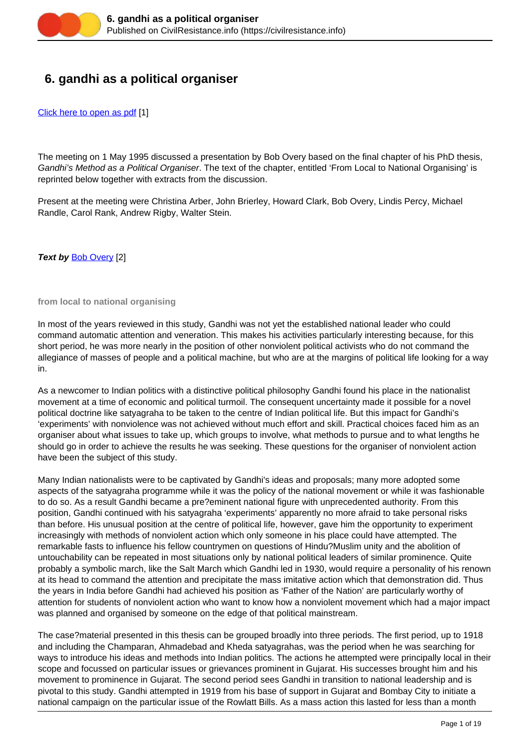

# **6. gandhi as a political organiser**

[Click here to open as pdf](https://civilresistance.info/sites/default/files/6-GandhiPolOrg.pdf) [1]

The meeting on 1 May 1995 discussed a presentation by Bob Overy based on the final chapter of his PhD thesis, Gandhi's Method as a Political Organiser. The text of the chapter, entitled 'From Local to National Organising' is reprinted below together with extracts from the discussion.

Present at the meeting were Christina Arber, John Brierley, Howard Clark, Bob Overy, Lindis Percy, Michael Randle, Carol Rank, Andrew Rigby, Walter Stein.

**Text by [Bob Overy](https://civilresistance.info/challenge/preface#Bob) [2]** 

**from local to national organising**

In most of the years reviewed in this study, Gandhi was not yet the established national leader who could command automatic attention and veneration. This makes his activities particularly interesting because, for this short period, he was more nearly in the position of other nonviolent political activists who do not command the allegiance of masses of people and a political machine, but who are at the margins of political life looking for a way in.

As a newcomer to Indian politics with a distinctive political philosophy Gandhi found his place in the nationalist movement at a time of economic and political turmoil. The consequent uncertainty made it possible for a novel political doctrine like satyagraha to be taken to the centre of Indian political life. But this impact for Gandhi's 'experiments' with nonviolence was not achieved without much effort and skill. Practical choices faced him as an organiser about what issues to take up, which groups to involve, what methods to pursue and to what lengths he should go in order to achieve the results he was seeking. These questions for the organiser of nonviolent action have been the subject of this study.

Many Indian nationalists were to be captivated by Gandhi's ideas and proposals; many more adopted some aspects of the satyagraha programme while it was the policy of the national movement or while it was fashionable to do so. As a result Gandhi became a pre?eminent national figure with unprecedented authority. From this position, Gandhi continued with his satyagraha 'experiments' apparently no more afraid to take personal risks than before. His unusual position at the centre of political life, however, gave him the opportunity to experiment increasingly with methods of nonviolent action which only someone in his place could have attempted. The remarkable fasts to influence his fellow countrymen on questions of Hindu?Muslim unity and the abolition of untouchability can be repeated in most situations only by national political leaders of similar prominence. Quite probably a symbolic march, like the Salt March which Gandhi led in 1930, would require a personality of his renown at its head to command the attention and precipitate the mass imitative action which that demonstration did. Thus the years in India before Gandhi had achieved his position as 'Father of the Nation' are particularly worthy of attention for students of nonviolent action who want to know how a nonviolent movement which had a major impact was planned and organised by someone on the edge of that political mainstream.

The case?material presented in this thesis can be grouped broadly into three periods. The first period, up to 1918 and including the Champaran, Ahmadebad and Kheda satyagrahas, was the period when he was searching for ways to introduce his ideas and methods into Indian politics. The actions he attempted were principally local in their scope and focussed on particular issues or grievances prominent in Guiarat. His successes brought him and his movement to prominence in Gujarat. The second period sees Gandhi in transition to national leadership and is pivotal to this study. Gandhi attempted in 1919 from his base of support in Gujarat and Bombay City to initiate a national campaign on the particular issue of the Rowlatt Bills. As a mass action this lasted for less than a month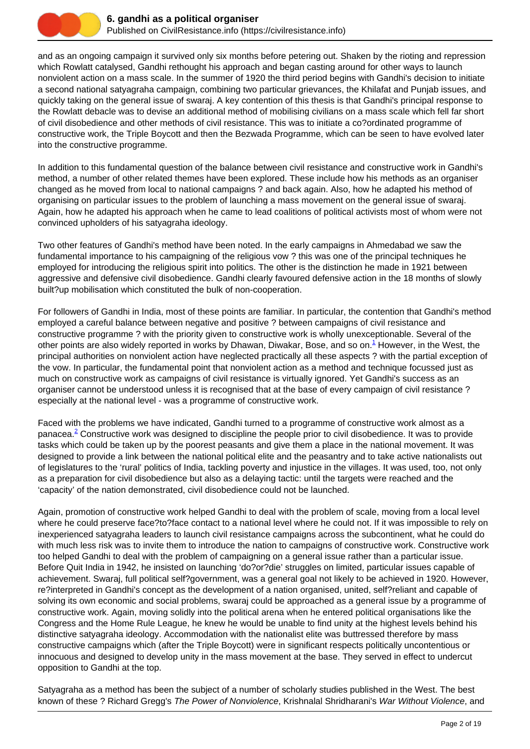

and as an ongoing campaign it survived only six months before petering out. Shaken by the rioting and repression which Rowlatt catalysed, Gandhi rethought his approach and began casting around for other ways to launch nonviolent action on a mass scale. In the summer of 1920 the third period begins with Gandhi's decision to initiate a second national satyagraha campaign, combining two particular grievances, the Khilafat and Punjab issues, and quickly taking on the general issue of swaraj. A key contention of this thesis is that Gandhi's principal response to the Rowlatt debacle was to devise an additional method of mobilising civilians on a mass scale which fell far short of civil disobedience and other methods of civil resistance. This was to initiate a co?ordinated programme of constructive work, the Triple Boycott and then the Bezwada Programme, which can be seen to have evolved later into the constructive programme.

In addition to this fundamental question of the balance between civil resistance and constructive work in Gandhi's method, a number of other related themes have been explored. These include how his methods as an organiser changed as he moved from local to national campaigns ? and back again. Also, how he adapted his method of organising on particular issues to the problem of launching a mass movement on the general issue of swaraj. Again, how he adapted his approach when he came to lead coalitions of political activists most of whom were not convinced upholders of his satyagraha ideology.

Two other features of Gandhi's method have been noted. In the early campaigns in Ahmedabad we saw the fundamental importance to his campaigning of the religious vow ? this was one of the principal techniques he employed for introducing the religious spirit into politics. The other is the distinction he made in 1921 between aggressive and defensive civil disobedience. Gandhi clearly favoured defensive action in the 18 months of slowly built?up mobilisation which constituted the bulk of non-cooperation.

For followers of Gandhi in India, most of these points are familiar. In particular, the contention that Gandhi's method employed a careful balance between negative and positive ? between campaigns of civil resistance and constructive programme ? with the priority given to constructive work is wholly unexceptionable. Several of the other points are also widely reported in works by Dhawan, Diwakar, Bose, and so on. $^1$  However, in the West, the principal authorities on nonviolent action have neglected practically all these aspects ? with the partial exception of the vow. In particular, the fundamental point that nonviolent action as a method and technique focussed just as much on constructive work as campaigns of civil resistance is virtually ignored. Yet Gandhi's success as an organiser cannot be understood unless it is recognised that at the base of every campaign of civil resistance ? especially at the national level - was a programme of constructive work.

Faced with the problems we have indicated, Gandhi turned to a programme of constructive work almost as a panacea.<sup>2</sup> Constructive work was designed to discipline the people prior to civil disobedience. It was to provide tasks which could be taken up by the poorest peasants and give them a place in the national movement. It was designed to provide a link between the national political elite and the peasantry and to take active nationalists out of legislatures to the 'rural' politics of India, tackling poverty and injustice in the villages. It was used, too, not only as a preparation for civil disobedience but also as a delaying tactic: until the targets were reached and the 'capacity' of the nation demonstrated, civil disobedience could not be launched.

Again, promotion of constructive work helped Gandhi to deal with the problem of scale, moving from a local level where he could preserve face?to?face contact to a national level where he could not. If it was impossible to rely on inexperienced satyagraha leaders to launch civil resistance campaigns across the subcontinent, what he could do with much less risk was to invite them to introduce the nation to campaigns of constructive work. Constructive work too helped Gandhi to deal with the problem of campaigning on a general issue rather than a particular issue. Before Quit India in 1942, he insisted on launching 'do?or?die' struggles on limited, particular issues capable of achievement. Swaraj, full political self?government, was a general goal not likely to be achieved in 1920. However, re?interpreted in Gandhi's concept as the development of a nation organised, united, self?reliant and capable of solving its own economic and social problems, swaraj could be approached as a general issue by a programme of constructive work. Again, moving solidly into the political arena when he entered political organisations like the Congress and the Home Rule League, he knew he would be unable to find unity at the highest levels behind his distinctive satyagraha ideology. Accommodation with the nationalist elite was buttressed therefore by mass constructive campaigns which (after the Triple Boycott) were in significant respects politically uncontentious or innocuous and designed to develop unity in the mass movement at the base. They served in effect to undercut opposition to Gandhi at the top.

Satyagraha as a method has been the subject of a number of scholarly studies published in the West. The best known of these ? Richard Gregg's The Power of Nonviolence, Krishnalal Shridharani's War Without Violence, and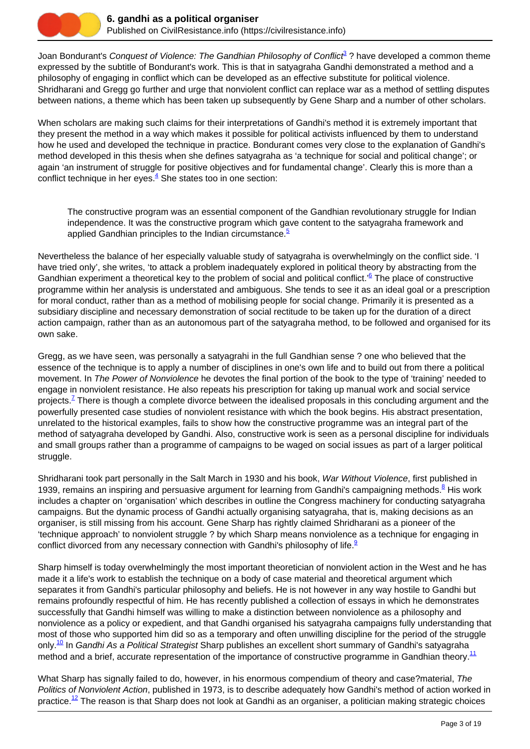

Joan Bondurant's Conquest of Violence: The Gandhian Philosophy of Conflict<sup>2</sup>? have developed a common theme expressed by the subtitle of Bondurant's work. This is that in satyagraha Gandhi demonstrated a method and a philosophy of engaging in conflict which can be developed as an effective substitute for political violence. Shridharani and Gregg go further and urge that nonviolent conflict can replace war as a method of settling disputes between nations, a theme which has been taken up subsequently by Gene Sharp and a number of other scholars.

When scholars are making such claims for their interpretations of Gandhi's method it is extremely important that they present the method in a way which makes it possible for political activists influenced by them to understand how he used and developed the technique in practice. Bondurant comes very close to the explanation of Gandhi's method developed in this thesis when she defines satyagraha as 'a technique for social and political change'; or again 'an instrument of struggle for positive objectives and for fundamental change'. Clearly this is more than a conflict technique in her eyes.<sup>4</sup> She states too in one section:

The constructive program was an essential component of the Gandhian revolutionary struggle for Indian independence. It was the constructive program which gave content to the satyagraha framework and applied Gandhian principles to the Indian circumstance. $5$ 

Nevertheless the balance of her especially valuable study of satyagraha is overwhelmingly on the conflict side. 'I have tried only', she writes, 'to attack a problem inadequately explored in political theory by abstracting from the Gandhian experiment a theoretical key to the problem of social and political conflict.<sup>36</sup> The place of constructive programme within her analysis is understated and ambiguous. She tends to see it as an ideal goal or a prescription for moral conduct, rather than as a method of mobilising people for social change. Primarily it is presented as a subsidiary discipline and necessary demonstration of social rectitude to be taken up for the duration of a direct action campaign, rather than as an autonomous part of the satyagraha method, to be followed and organised for its own sake.

Gregg, as we have seen, was personally a satyagrahi in the full Gandhian sense ? one who believed that the essence of the technique is to apply a number of disciplines in one's own life and to build out from there a political movement. In The Power of Nonviolence he devotes the final portion of the book to the type of 'training' needed to engage in nonviolent resistance. He also repeats his prescription for taking up manual work and social service projects.<sup>Z</sup> There is though a complete divorce between the idealised proposals in this concluding argument and the powerfully presented case studies of nonviolent resistance with which the book begins. His abstract presentation, unrelated to the historical examples, fails to show how the constructive programme was an integral part of the method of satyagraha developed by Gandhi. Also, constructive work is seen as a personal discipline for individuals and small groups rather than a programme of campaigns to be waged on social issues as part of a larger political struggle.

Shridharani took part personally in the Salt March in 1930 and his book, War Without Violence, first published in 1939, remains an inspiring and persuasive argument for learning from Gandhi's campaigning methods.<sup>8</sup> His work includes a chapter on 'organisation' which describes in outline the Congress machinery for conducting satyagraha campaigns. But the dynamic process of Gandhi actually organising satyagraha, that is, making decisions as an organiser, is still missing from his account. Gene Sharp has rightly claimed Shridharani as a pioneer of the 'technique approach' to nonviolent struggle ? by which Sharp means nonviolence as a technique for engaging in conflict divorced from any necessary connection with Gandhi's philosophy of life. $9$ 

Sharp himself is today overwhelmingly the most important theoretician of nonviolent action in the West and he has made it a life's work to establish the technique on a body of case material and theoretical argument which separates it from Gandhi's particular philosophy and beliefs. He is not however in any way hostile to Gandhi but remains profoundly respectful of him. He has recently published a collection of essays in which he demonstrates successfully that Gandhi himself was willing to make a distinction between nonviolence as a philosophy and nonviolence as a policy or expedient, and that Gandhi organised his satyagraha campaigns fully understanding that most of those who supported him did so as a temporary and often unwilling discipline for the period of the struggle only.<sup>10</sup> In Gandhi As a Political Strategist Sharp publishes an excellent short summary of Gandhi's satyagraha method and a brief, accurate representation of the importance of constructive programme in Gandhian theory.<sup>11</sup>

What Sharp has signally failed to do, however, in his enormous compendium of theory and case?material, The Politics of Nonviolent Action, published in 1973, is to describe adequately how Gandhi's method of action worked in practice.<sup>12</sup> The reason is that Sharp does not look at Gandhi as an organiser, a politician making strategic choices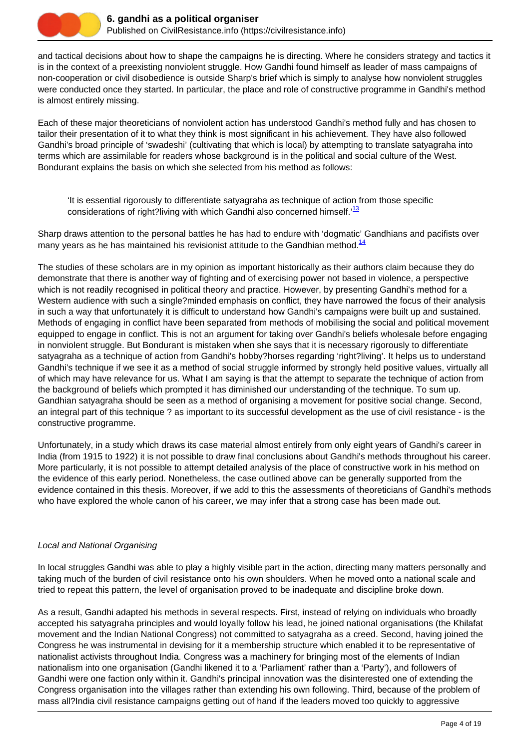

and tactical decisions about how to shape the campaigns he is directing. Where he considers strategy and tactics it is in the context of a preexisting nonviolent struggle. How Gandhi found himself as leader of mass campaigns of non-cooperation or civil disobedience is outside Sharp's brief which is simply to analyse how nonviolent struggles were conducted once they started. In particular, the place and role of constructive programme in Gandhi's method is almost entirely missing.

Each of these major theoreticians of nonviolent action has understood Gandhi's method fully and has chosen to tailor their presentation of it to what they think is most significant in his achievement. They have also followed Gandhi's broad principle of 'swadeshi' (cultivating that which is local) by attempting to translate satyagraha into terms which are assimilable for readers whose background is in the political and social culture of the West. Bondurant explains the basis on which she selected from his method as follows:

'It is essential rigorously to differentiate satyagraha as technique of action from those specific considerations of right?living with which Gandhi also concerned himself.<sup>13</sup>

Sharp draws attention to the personal battles he has had to endure with 'dogmatic' Gandhians and pacifists over many years as he has maintained his revisionist attitude to the Gandhian method.<sup>14</sup>

The studies of these scholars are in my opinion as important historically as their authors claim because they do demonstrate that there is another way of fighting and of exercising power not based in violence, a perspective which is not readily recognised in political theory and practice. However, by presenting Gandhi's method for a Western audience with such a single?minded emphasis on conflict, they have narrowed the focus of their analysis in such a way that unfortunately it is difficult to understand how Gandhi's campaigns were built up and sustained. Methods of engaging in conflict have been separated from methods of mobilising the social and political movement equipped to engage in conflict. This is not an argument for taking over Gandhi's beliefs wholesale before engaging in nonviolent struggle. But Bondurant is mistaken when she says that it is necessary rigorously to differentiate satyagraha as a technique of action from Gandhi's hobby?horses regarding 'right?living'. It helps us to understand Gandhi's technique if we see it as a method of social struggle informed by strongly held positive values, virtually all of which may have relevance for us. What I am saying is that the attempt to separate the technique of action from the background of beliefs which prompted it has diminished our understanding of the technique. To sum up. Gandhian satyagraha should be seen as a method of organising a movement for positive social change. Second, an integral part of this technique ? as important to its successful development as the use of civil resistance - is the constructive programme.

Unfortunately, in a study which draws its case material almost entirely from only eight years of Gandhi's career in India (from 1915 to 1922) it is not possible to draw final conclusions about Gandhi's methods throughout his career. More particularly, it is not possible to attempt detailed analysis of the place of constructive work in his method on the evidence of this early period. Nonetheless, the case outlined above can be generally supported from the evidence contained in this thesis. Moreover, if we add to this the assessments of theoreticians of Gandhi's methods who have explored the whole canon of his career, we may infer that a strong case has been made out.

# Local and National Organising

In local struggles Gandhi was able to play a highly visible part in the action, directing many matters personally and taking much of the burden of civil resistance onto his own shoulders. When he moved onto a national scale and tried to repeat this pattern, the level of organisation proved to be inadequate and discipline broke down.

As a result, Gandhi adapted his methods in several respects. First, instead of relying on individuals who broadly accepted his satyagraha principles and would loyally follow his lead, he joined national organisations (the Khilafat movement and the Indian National Congress) not committed to satyagraha as a creed. Second, having joined the Congress he was instrumental in devising for it a membership structure which enabled it to be representative of nationalist activists throughout India. Congress was a machinery for bringing most of the elements of Indian nationalism into one organisation (Gandhi likened it to a 'Parliament' rather than a 'Party'), and followers of Gandhi were one faction only within it. Gandhi's principal innovation was the disinterested one of extending the Congress organisation into the villages rather than extending his own following. Third, because of the problem of mass all?India civil resistance campaigns getting out of hand if the leaders moved too quickly to aggressive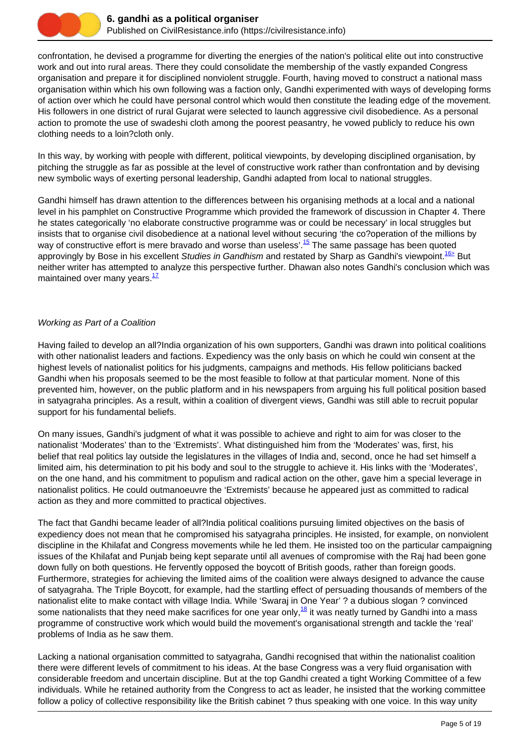

confrontation, he devised a programme for diverting the energies of the nation's political elite out into constructive work and out into rural areas. There they could consolidate the membership of the vastly expanded Congress organisation and prepare it for disciplined nonviolent struggle. Fourth, having moved to construct a national mass organisation within which his own following was a faction only, Gandhi experimented with ways of developing forms of action over which he could have personal control which would then constitute the leading edge of the movement. His followers in one district of rural Gujarat were selected to launch aggressive civil disobedience. As a personal action to promote the use of swadeshi cloth among the poorest peasantry, he vowed publicly to reduce his own clothing needs to a loin?cloth only.

In this way, by working with people with different, political viewpoints, by developing disciplined organisation, by pitching the struggle as far as possible at the level of constructive work rather than confrontation and by devising new symbolic ways of exerting personal leadership, Gandhi adapted from local to national struggles.

Gandhi himself has drawn attention to the differences between his organising methods at a local and a national level in his pamphlet on Constructive Programme which provided the framework of discussion in Chapter 4. There he states categorically 'no elaborate constructive programme was or could be necessary' in local struggles but insists that to organise civil disobedience at a national level without securing 'the co?operation of the millions by way of constructive effort is mere bravado and worse than useless'.<sup>15</sup> The same passage has been quoted approvingly by Bose in his excellent Studies in Gandhism and restated by Sharp as Gandhi's viewpoint.<sup>16></sup> But neither writer has attempted to analyze this perspective further. Dhawan also notes Gandhi's conclusion which was maintained over many years. $17$ 

#### Working as Part of a Coalition

Having failed to develop an all?India organization of his own supporters, Gandhi was drawn into political coalitions with other nationalist leaders and factions. Expediency was the only basis on which he could win consent at the highest levels of nationalist politics for his judgments, campaigns and methods. His fellow politicians backed Gandhi when his proposals seemed to be the most feasible to follow at that particular moment. None of this prevented him, however, on the public platform and in his newspapers from arguing his full political position based in satyagraha principles. As a result, within a coalition of divergent views, Gandhi was still able to recruit popular support for his fundamental beliefs.

On many issues, Gandhi's judgment of what it was possible to achieve and right to aim for was closer to the nationalist 'Moderates' than to the 'Extremists'. What distinguished him from the 'Moderates' was, first, his belief that real politics lay outside the legislatures in the villages of India and, second, once he had set himself a limited aim, his determination to pit his body and soul to the struggle to achieve it. His links with the 'Moderates', on the one hand, and his commitment to populism and radical action on the other, gave him a special leverage in nationalist politics. He could outmanoeuvre the 'Extremists' because he appeared just as committed to radical action as they and more committed to practical objectives.

The fact that Gandhi became leader of all?India political coalitions pursuing limited objectives on the basis of expediency does not mean that he compromised his satyagraha principles. He insisted, for example, on nonviolent discipline in the Khilafat and Congress movements while he led them. He insisted too on the particular campaigning issues of the Khilafat and Punjab being kept separate until all avenues of compromise with the Raj had been gone down fully on both questions. He fervently opposed the boycott of British goods, rather than foreign goods. Furthermore, strategies for achieving the limited aims of the coalition were always designed to advance the cause of satyagraha. The Triple Boycott, for example, had the startling effect of persuading thousands of members of the nationalist elite to make contact with village India. While 'Swaraj in One Year' ? a dubious slogan ? convinced some nationalists that they need make sacrifices for one year only, $^{18}$  it was neatly turned by Gandhi into a mass programme of constructive work which would build the movement's organisational strength and tackle the 'real' problems of India as he saw them.

Lacking a national organisation committed to satyagraha, Gandhi recognised that within the nationalist coalition there were different levels of commitment to his ideas. At the base Congress was a very fluid organisation with considerable freedom and uncertain discipline. But at the top Gandhi created a tight Working Committee of a few individuals. While he retained authority from the Congress to act as leader, he insisted that the working committee follow a policy of collective responsibility like the British cabinet ? thus speaking with one voice. In this way unity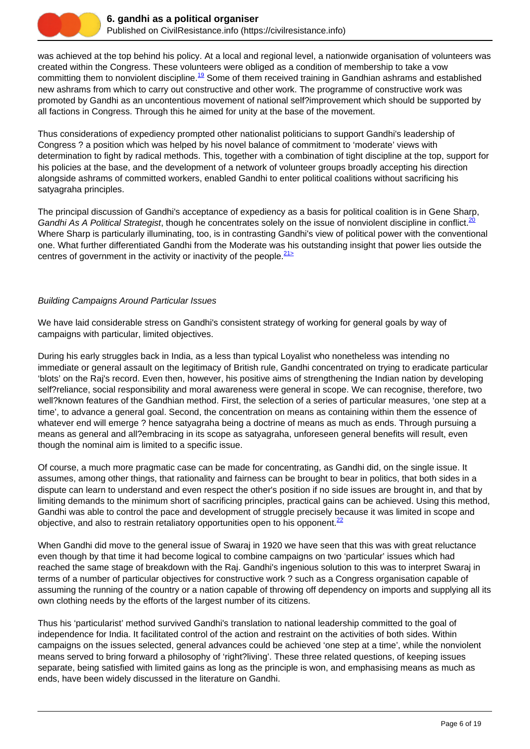

was achieved at the top behind his policy. At a local and regional level, a nationwide organisation of volunteers was created within the Congress. These volunteers were obliged as a condition of membership to take a vow committing them to nonviolent discipline.<sup>19</sup> Some of them received training in Gandhian ashrams and established new ashrams from which to carry out constructive and other work. The programme of constructive work was promoted by Gandhi as an uncontentious movement of national self?improvement which should be supported by all factions in Congress. Through this he aimed for unity at the base of the movement.

Thus considerations of expediency prompted other nationalist politicians to support Gandhi's leadership of Congress ? a position which was helped by his novel balance of commitment to 'moderate' views with determination to fight by radical methods. This, together with a combination of tight discipline at the top, support for his policies at the base, and the development of a network of volunteer groups broadly accepting his direction alongside ashrams of committed workers, enabled Gandhi to enter political coalitions without sacrificing his satyagraha principles.

The principal discussion of Gandhi's acceptance of expediency as a basis for political coalition is in Gene Sharp, Gandhi As A Political Strategist, though he concentrates solely on the issue of nonviolent discipline in conflict.<sup>20</sup> Where Sharp is particularly illuminating, too, is in contrasting Gandhi's view of political power with the conventional one. What further differentiated Gandhi from the Moderate was his outstanding insight that power lies outside the centres of government in the activity or inactivity of the people.  $21 \geq$ 

#### Building Campaigns Around Particular Issues

We have laid considerable stress on Gandhi's consistent strategy of working for general goals by way of campaigns with particular, limited objectives.

During his early struggles back in India, as a less than typical Loyalist who nonetheless was intending no immediate or general assault on the legitimacy of British rule, Gandhi concentrated on trying to eradicate particular 'blots' on the Raj's record. Even then, however, his positive aims of strengthening the Indian nation by developing self?reliance, social responsibility and moral awareness were general in scope. We can recognise, therefore, two well?known features of the Gandhian method. First, the selection of a series of particular measures, 'one step at a time', to advance a general goal. Second, the concentration on means as containing within them the essence of whatever end will emerge ? hence satyagraha being a doctrine of means as much as ends. Through pursuing a means as general and all?embracing in its scope as satyagraha, unforeseen general benefits will result, even though the nominal aim is limited to a specific issue.

Of course, a much more pragmatic case can be made for concentrating, as Gandhi did, on the single issue. It assumes, among other things, that rationality and fairness can be brought to bear in politics, that both sides in a dispute can learn to understand and even respect the other's position if no side issues are brought in, and that by limiting demands to the minimum short of sacrificing principles, practical gains can be achieved. Using this method, Gandhi was able to control the pace and development of struggle precisely because it was limited in scope and objective, and also to restrain retaliatory opportunities open to his opponent. $\frac{22}{2}$ 

When Gandhi did move to the general issue of Swaraj in 1920 we have seen that this was with great reluctance even though by that time it had become logical to combine campaigns on two 'particular' issues which had reached the same stage of breakdown with the Raj. Gandhi's ingenious solution to this was to interpret Swaraj in terms of a number of particular objectives for constructive work ? such as a Congress organisation capable of assuming the running of the country or a nation capable of throwing off dependency on imports and supplying all its own clothing needs by the efforts of the largest number of its citizens.

Thus his 'particularist' method survived Gandhi's translation to national leadership committed to the goal of independence for India. It facilitated control of the action and restraint on the activities of both sides. Within campaigns on the issues selected, general advances could be achieved 'one step at a time', while the nonviolent means served to bring forward a philosophy of 'right?living'. These three related questions, of keeping issues separate, being satisfied with limited gains as long as the principle is won, and emphasising means as much as ends, have been widely discussed in the literature on Gandhi.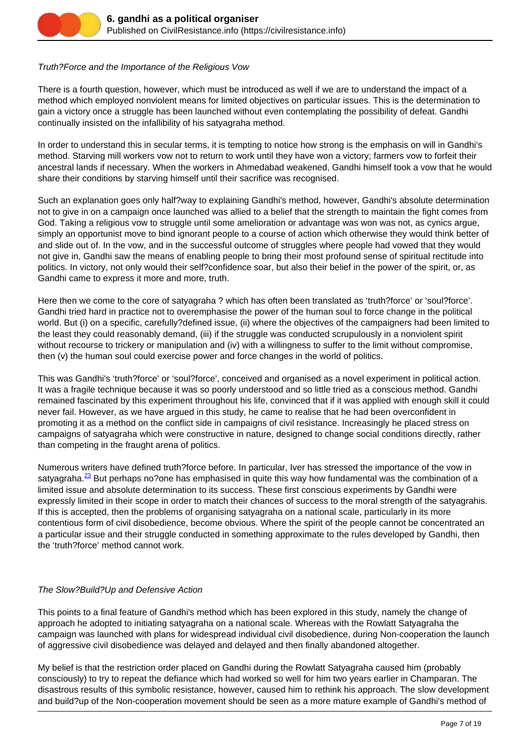

#### Truth?Force and the Importance of the Religious Vow

There is a fourth question, however, which must be introduced as well if we are to understand the impact of a method which employed nonviolent means for limited objectives on particular issues. This is the determination to gain a victory once a struggle has been launched without even contemplating the possibility of defeat. Gandhi continually insisted on the infallibility of his satyagraha method.

In order to understand this in secular terms, it is tempting to notice how strong is the emphasis on will in Gandhi's method. Starving mill workers vow not to return to work until they have won a victory; farmers vow to forfeit their ancestral lands if necessary. When the workers in Ahmedabad weakened, Gandhi himself took a vow that he would share their conditions by starving himself until their sacrifice was recognised.

Such an explanation goes only half?way to explaining Gandhi's method, however, Gandhi's absolute determination not to give in on a campaign once launched was allied to a belief that the strength to maintain the fight comes from God. Taking a religious vow to struggle until some amelioration or advantage was won was not, as cynics argue, simply an opportunist move to bind ignorant people to a course of action which otherwise they would think better of and slide out of. In the vow, and in the successful outcome of struggles where people had vowed that they would not give in, Gandhi saw the means of enabling people to bring their most profound sense of spiritual rectitude into politics. In victory, not only would their self?confidence soar, but also their belief in the power of the spirit, or, as Gandhi came to express it more and more, truth.

Here then we come to the core of satyagraha ? which has often been translated as 'truth?force' or 'soul?force'. Gandhi tried hard in practice not to overemphasise the power of the human soul to force change in the political world. But (i) on a specific, carefully?defined issue, (ii) where the objectives of the campaigners had been limited to the least they could reasonably demand, (iii) if the struggle was conducted scrupulously in a nonviolent spirit without recourse to trickery or manipulation and (iv) with a willingness to suffer to the limit without compromise, then (v) the human soul could exercise power and force changes in the world of politics.

This was Gandhi's 'truth?force' or 'soul?force', conceived and organised as a novel experiment in political action. It was a fragile technique because it was so poorly understood and so little tried as a conscious method. Gandhi remained fascinated by this experiment throughout his life, convinced that if it was applied with enough skill it could never fail. However, as we have argued in this study, he came to realise that he had been overconfident in promoting it as a method on the conflict side in campaigns of civil resistance. Increasingly he placed stress on campaigns of satyagraha which were constructive in nature, designed to change social conditions directly, rather than competing in the fraught arena of politics.

Numerous writers have defined truth?force before. In particular, Iver has stressed the importance of the vow in satyagraha.<sup>23</sup> But perhaps no?one has emphasised in quite this way how fundamental was the combination of a limited issue and absolute determination to its success. These first conscious experiments by Gandhi were expressly limited in their scope in order to match their chances of success to the moral strength of the satyagrahis. If this is accepted, then the problems of organising satyagraha on a national scale, particularly in its more contentious form of civil disobedience, become obvious. Where the spirit of the people cannot be concentrated an a particular issue and their struggle conducted in something approximate to the rules developed by Gandhi, then the 'truth?force' method cannot work.

# The Slow?Build?Up and Defensive Action

This points to a final feature of Gandhi's method which has been explored in this study, namely the change of approach he adopted to initiating satyagraha on a national scale. Whereas with the Rowlatt Satyagraha the campaign was launched with plans for widespread individual civil disobedience, during Non-cooperation the launch of aggressive civil disobedience was delayed and delayed and then finally abandoned altogether.

My belief is that the restriction order placed on Gandhi during the Rowlatt Satyagraha caused him (probably consciously) to try to repeat the defiance which had worked so well for him two years earlier in Champaran. The disastrous results of this symbolic resistance, however, caused him to rethink his approach. The slow development and build?up of the Non-cooperation movement should be seen as a more mature example of Gandhi's method of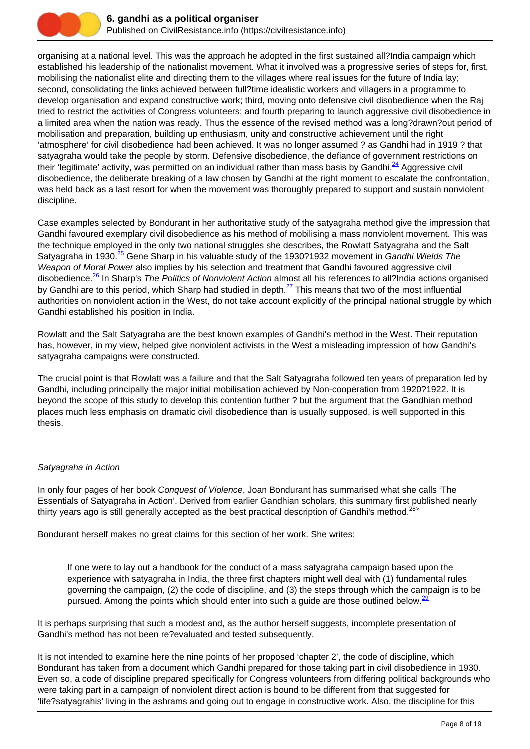

organising at a national level. This was the approach he adopted in the first sustained all?India campaign which established his leadership of the nationalist movement. What it involved was a progressive series of steps for, first, mobilising the nationalist elite and directing them to the villages where real issues for the future of India lay; second, consolidating the links achieved between full?time idealistic workers and villagers in a programme to develop organisation and expand constructive work; third, moving onto defensive civil disobedience when the Raj tried to restrict the activities of Congress volunteers; and fourth preparing to launch aggressive civil disobedience in a limited area when the nation was ready. Thus the essence of the revised method was a long?drawn?out period of mobilisation and preparation, building up enthusiasm, unity and constructive achievement until the right 'atmosphere' for civil disobedience had been achieved. It was no longer assumed ? as Gandhi had in 1919 ? that satyagraha would take the people by storm. Defensive disobedience, the defiance of government restrictions on their 'legitimate' activity, was permitted on an individual rather than mass basis by Gandhi.<sup>24</sup> Aggressive civil disobedience, the deliberate breaking of a law chosen by Gandhi at the right moment to escalate the confrontation, was held back as a last resort for when the movement was thoroughly prepared to support and sustain nonviolent discipline.

Case examples selected by Bondurant in her authoritative study of the satyagraha method give the impression that Gandhi favoured exemplary civil disobedience as his method of mobilising a mass nonviolent movement. This was the technique employed in the only two national struggles she describes, the Rowlatt Satyagraha and the Salt Satyagraha in 1930.<sup>25</sup> Gene Sharp in his valuable study of the 1930?1932 movement in Gandhi Wields The Weapon of Moral Power also implies by his selection and treatment that Gandhi favoured aggressive civil disobedience.<sup>26</sup> In Sharp's The Politics of Nonviolent Action almost all his references to all?India actions organised by Gandhi are to this period, which Sharp had studied in depth.<sup>27</sup> This means that two of the most influential authorities on nonviolent action in the West, do not take account explicitly of the principal national struggle by which Gandhi established his position in India.

Rowlatt and the Salt Satyagraha are the best known examples of Gandhi's method in the West. Their reputation has, however, in my view, helped give nonviolent activists in the West a misleading impression of how Gandhi's satyagraha campaigns were constructed.

The crucial point is that Rowlatt was a failure and that the Salt Satyagraha followed ten years of preparation led by Gandhi, including principally the major initial mobilisation achieved by Non-cooperation from 1920?1922. It is beyond the scope of this study to develop this contention further ? but the argument that the Gandhian method places much less emphasis on dramatic civil disobedience than is usually supposed, is well supported in this thesis.

#### Satyagraha in Action

In only four pages of her book Conquest of Violence, Joan Bondurant has summarised what she calls 'The Essentials of Satyagraha in Action'. Derived from earlier Gandhian scholars, this summary first published nearly thirty years ago is still generally accepted as the best practical description of Gandhi's method.<sup>28></sup>

Bondurant herself makes no great claims for this section of her work. She writes:

If one were to lay out a handbook for the conduct of a mass satyagraha campaign based upon the experience with satyagraha in India, the three first chapters might well deal with (1) fundamental rules governing the campaign, (2) the code of discipline, and (3) the steps through which the campaign is to be pursued. Among the points which should enter into such a guide are those outlined below.<sup>29</sup>

It is perhaps surprising that such a modest and, as the author herself suggests, incomplete presentation of Gandhi's method has not been re?evaluated and tested subsequently.

It is not intended to examine here the nine points of her proposed 'chapter 2', the code of discipline, which Bondurant has taken from a document which Gandhi prepared for those taking part in civil disobedience in 1930. Even so, a code of discipline prepared specifically for Congress volunteers from differing political backgrounds who were taking part in a campaign of nonviolent direct action is bound to be different from that suggested for 'life?satyagrahis' living in the ashrams and going out to engage in constructive work. Also, the discipline for this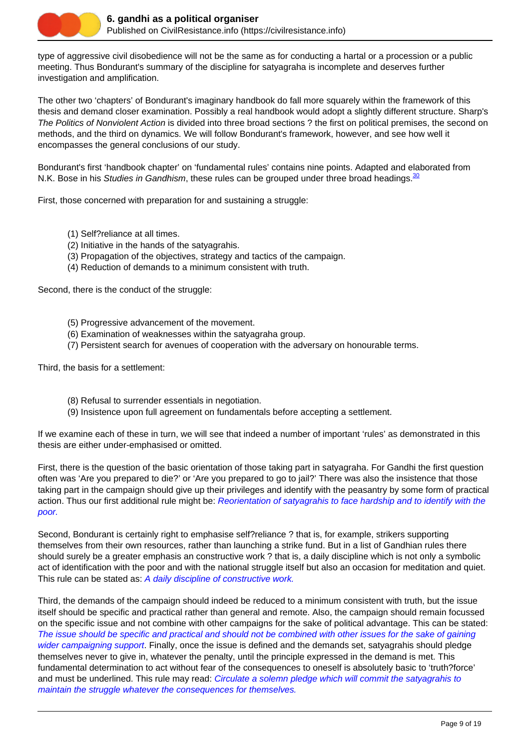

type of aggressive civil disobedience will not be the same as for conducting a hartal or a procession or a public meeting. Thus Bondurant's summary of the discipline for satyagraha is incomplete and deserves further investigation and amplification.

The other two 'chapters' of Bondurant's imaginary handbook do fall more squarely within the framework of this thesis and demand closer examination. Possibly a real handbook would adopt a slightly different structure. Sharp's The Politics of Nonviolent Action is divided into three broad sections? the first on political premises, the second on methods, and the third on dynamics. We will follow Bondurant's framework, however, and see how well it encompasses the general conclusions of our study.

Bondurant's first 'handbook chapter' on 'fundamental rules' contains nine points. Adapted and elaborated from N.K. Bose in his Studies in Gandhism, these rules can be grouped under three broad headings.  $30$ 

First, those concerned with preparation for and sustaining a struggle:

- (1) Self?reliance at all times.
- (2) Initiative in the hands of the satyagrahis.
- (3) Propagation of the objectives, strategy and tactics of the campaign.
- (4) Reduction of demands to a minimum consistent with truth.

Second, there is the conduct of the struggle:

- (5) Progressive advancement of the movement.
- (6) Examination of weaknesses within the satyagraha group.
- (7) Persistent search for avenues of cooperation with the adversary on honourable terms.

Third, the basis for a settlement:

- (8) Refusal to surrender essentials in negotiation.
- (9) Insistence upon full agreement on fundamentals before accepting a settlement.

If we examine each of these in turn, we will see that indeed a number of important 'rules' as demonstrated in this thesis are either under-emphasised or omitted.

First, there is the question of the basic orientation of those taking part in satyagraha. For Gandhi the first question often was 'Are you prepared to die?' or 'Are you prepared to go to jail?' There was also the insistence that those taking part in the campaign should give up their privileges and identify with the peasantry by some form of practical action. Thus our first additional rule might be: Reorientation of satyagrahis to face hardship and to identify with the poor.

Second, Bondurant is certainly right to emphasise self?reliance ? that is, for example, strikers supporting themselves from their own resources, rather than launching a strike fund. But in a list of Gandhian rules there should surely be a greater emphasis an constructive work ? that is, a daily discipline which is not only a symbolic act of identification with the poor and with the national struggle itself but also an occasion for meditation and quiet. This rule can be stated as: A daily discipline of constructive work.

Third, the demands of the campaign should indeed be reduced to a minimum consistent with truth, but the issue itself should be specific and practical rather than general and remote. Also, the campaign should remain focussed on the specific issue and not combine with other campaigns for the sake of political advantage. This can be stated: The issue should be specific and practical and should not be combined with other issues for the sake of gaining wider campaigning support. Finally, once the issue is defined and the demands set, satyagrahis should pledge themselves never to give in, whatever the penalty, until the principle expressed in the demand is met. This fundamental determination to act without fear of the consequences to oneself is absolutely basic to 'truth?force' and must be underlined. This rule may read: Circulate a solemn pledge which will commit the satyagrahis to maintain the struggle whatever the consequences for themselves.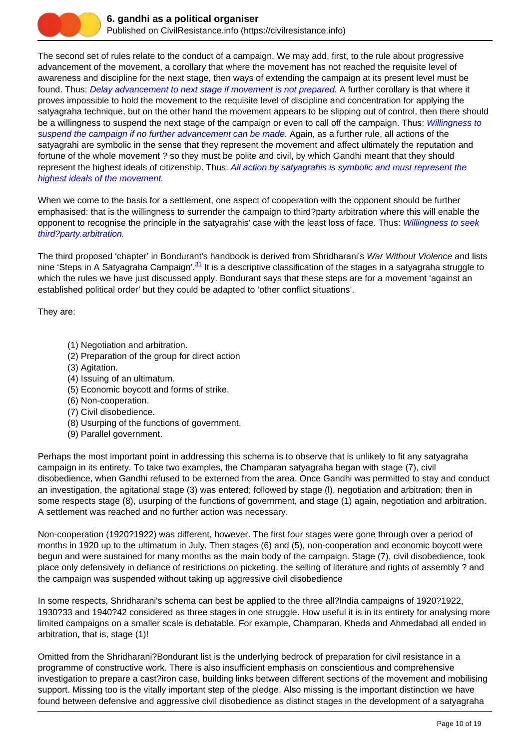

The second set of rules relate to the conduct of a campaign. We may add, first, to the rule about progressive advancement of the movement, a corollary that where the movement has not reached the requisite level of awareness and discipline for the next stage, then ways of extending the campaign at its present level must be found. Thus: Delay advancement to next stage if movement is not prepared. A further corollary is that where it proves impossible to hold the movement to the requisite level of discipline and concentration for applying the satyagraha technique, but on the other hand the movement appears to be slipping out of control, then there should be a willingness to suspend the next stage of the campaign or even to call off the campaign. Thus: Willingness to suspend the campaign if no further advancement can be made. Again, as a further rule, all actions of the satyagrahi are symbolic in the sense that they represent the movement and affect ultimately the reputation and fortune of the whole movement ? so they must be polite and civil, by which Gandhi meant that they should represent the highest ideals of citizenship. Thus: All action by satyagrahis is symbolic and must represent the highest ideals of the movement.

When we come to the basis for a settlement, one aspect of cooperation with the opponent should be further emphasised: that is the willingness to surrender the campaign to third?party arbitration where this will enable the opponent to recognise the principle in the satyagrahis' case with the least loss of face. Thus: Willingness to seek third?party.arbitration.

The third proposed 'chapter' in Bondurant's handbook is derived from Shridharani's War Without Violence and lists nine 'Steps in A Satyagraha Campaign'.  $31$  It is a descriptive classification of the stages in a satyagraha struggle to which the rules we have just discussed apply. Bondurant says that these steps are for a movement 'against an established political order' but they could be adapted to 'other conflict situations'.

They are:

- (1) Negotiation and arbitration.
- (2) Preparation of the group for direct action
- (3) Agitation.
- (4) Issuing of an ultimatum.
- (5) Economic boycott and forms of strike.
- (6) Non-cooperation.
- (7) Civil disobedience.
- (8) Usurping of the functions of government.
- (9) Parallel government.

Perhaps the most important point in addressing this schema is to observe that is unlikely to fit any satyagraha campaign in its entirety. To take two examples, the Champaran satyagraha began with stage (7), civil disobedience, when Gandhi refused to be externed from the area. Once Gandhi was permitted to stay and conduct an investigation, the agitational stage (3) was entered; followed by stage (l), negotiation and arbitration; then in some respects stage (8), usurping of the functions of government, and stage (1) again, negotiation and arbitration. A settlement was reached and no further action was necessary.

Non-cooperation (1920?1922) was different, however. The first four stages were gone through over a period of months in 1920 up to the ultimatum in July. Then stages (6) and (5), non-cooperation and economic boycott were begun and were sustained for many months as the main body of the campaign. Stage (7), civil disobedience, took place only defensively in defiance of restrictions on picketing, the selling of literature and rights of assembly ? and the campaign was suspended without taking up aggressive civil disobedience

In some respects, Shridharani's schema can best be applied to the three all?India campaigns of 1920?1922, 1930?33 and 1940?42 considered as three stages in one struggle. How useful it is in its entirety for analysing more limited campaigns on a smaller scale is debatable. For example, Champaran, Kheda and Ahmedabad all ended in arbitration, that is, stage (1)!

Omitted from the Shridharani?Bondurant list is the underlying bedrock of preparation for civil resistance in a programme of constructive work. There is also insufficient emphasis on conscientious and comprehensive investigation to prepare a cast?iron case, building links between different sections of the movement and mobilising support. Missing too is the vitally important step of the pledge. Also missing is the important distinction we have found between defensive and aggressive civil disobedience as distinct stages in the development of a satyagraha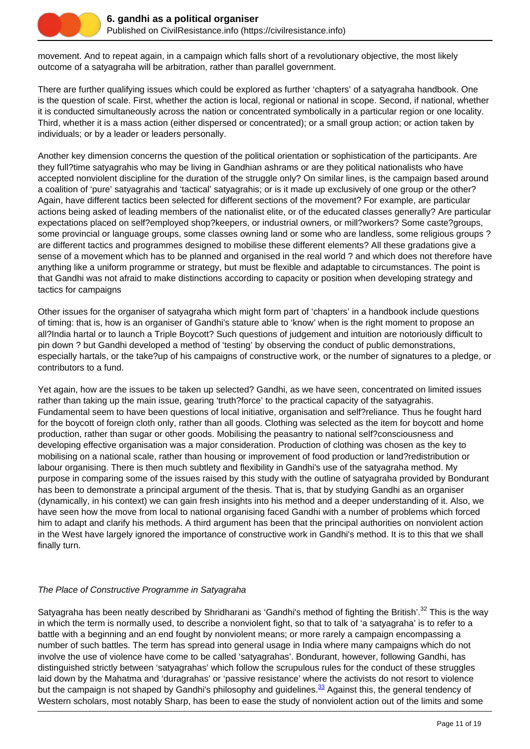

movement. And to repeat again, in a campaign which falls short of a revolutionary objective, the most likely outcome of a satyagraha will be arbitration, rather than parallel government.

There are further qualifying issues which could be explored as further 'chapters' of a satyagraha handbook. One is the question of scale. First, whether the action is local, regional or national in scope. Second, if national, whether it is conducted simultaneously across the nation or concentrated symbolically in a particular region or one locality. Third, whether it is a mass action (either dispersed or concentrated); or a small group action; or action taken by individuals; or by a leader or leaders personally.

Another key dimension concerns the question of the political orientation or sophistication of the participants. Are they full?time satyagrahis who may be living in Gandhian ashrams or are they political nationalists who have accepted nonviolent discipline for the duration of the struggle only? On similar lines, is the campaign based around a coalition of 'pure' satyagrahis and 'tactical' satyagrahis; or is it made up exclusively of one group or the other? Again, have different tactics been selected for different sections of the movement? For example, are particular actions being asked of leading members of the nationalist elite, or of the educated classes generally? Are particular expectations placed on self?employed shop?keepers, or industrial owners, or mill?workers? Some caste?groups, some provincial or language groups, some classes owning land or some who are landless, some religious groups ? are different tactics and programmes designed to mobilise these different elements? All these gradations give a sense of a movement which has to be planned and organised in the real world ? and which does not therefore have anything like a uniform programme or strategy, but must be flexible and adaptable to circumstances. The point is that Gandhi was not afraid to make distinctions according to capacity or position when developing strategy and tactics for campaigns

Other issues for the organiser of satyagraha which might form part of 'chapters' in a handbook include questions of timing: that is, how is an organiser of Gandhi's stature able to 'know' when is the right moment to propose an all?India hartal or to launch a Triple Boycott? Such questions of judgement and intuition are notoriously difficult to pin down ? but Gandhi developed a method of 'testing' by observing the conduct of public demonstrations, especially hartals, or the take?up of his campaigns of constructive work, or the number of signatures to a pledge, or contributors to a fund.

Yet again, how are the issues to be taken up selected? Gandhi, as we have seen, concentrated on limited issues rather than taking up the main issue, gearing 'truth?force' to the practical capacity of the satyagrahis. Fundamental seem to have been questions of local initiative, organisation and self?reliance. Thus he fought hard for the boycott of foreign cloth only, rather than all goods. Clothing was selected as the item for boycott and home production, rather than sugar or other goods. Mobilising the peasantry to national self?consciousness and developing effective organisation was a major consideration. Production of clothing was chosen as the key to mobilising on a national scale, rather than housing or improvement of food production or land?redistribution or labour organising. There is then much subtlety and flexibility in Gandhi's use of the satyagraha method. My purpose in comparing some of the issues raised by this study with the outline of satyagraha provided by Bondurant has been to demonstrate a principal argument of the thesis. That is, that by studying Gandhi as an organiser (dynamically, in his context) we can gain fresh insights into his method and a deeper understanding of it. Also, we have seen how the move from local to national organising faced Gandhi with a number of problems which forced him to adapt and clarify his methods. A third argument has been that the principal authorities on nonviolent action in the West have largely ignored the importance of constructive work in Gandhi's method. It is to this that we shall finally turn.

#### The Place of Constructive Programme in Satyagraha

Satyagraha has been neatly described by Shridharani as 'Gandhi's method of fighting the British'.<sup>32</sup> This is the way in which the term is normally used, to describe a nonviolent fight, so that to talk of 'a satyagraha' is to refer to a battle with a beginning and an end fought by nonviolent means; or more rarely a campaign encompassing a number of such battles. The term has spread into general usage in India where many campaigns which do not involve the use of violence have come to be called 'satyagrahas'. Bondurant, however, following Gandhi, has distinguished strictly between 'satyagrahas' which follow the scrupulous rules for the conduct of these struggles laid down by the Mahatma and 'duragrahas' or 'passive resistance' where the activists do not resort to violence but the campaign is not shaped by Gandhi's philosophy and guidelines.<sup>33</sup> Against this, the general tendency of Western scholars, most notably Sharp, has been to ease the study of nonviolent action out of the limits and some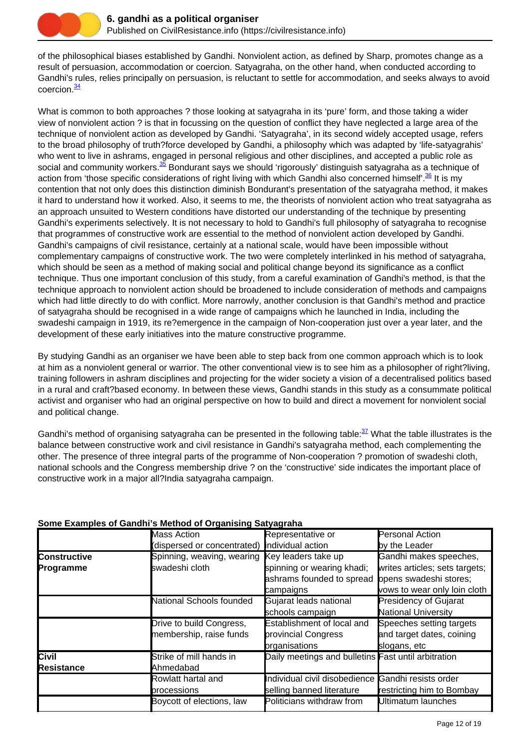

of the philosophical biases established by Gandhi. Nonviolent action, as defined by Sharp, promotes change as a result of persuasion, accommodation or coercion. Satyagraha, on the other hand, when conducted according to Gandhi's rules, relies principally on persuasion, is reluctant to settle for accommodation, and seeks always to avoid coercion.<sup>34</sup>

What is common to both approaches ? those looking at satyagraha in its 'pure' form, and those taking a wider view of nonviolent action ? is that in focussing on the question of conflict they have neglected a large area of the technique of nonviolent action as developed by Gandhi. 'Satyagraha', in its second widely accepted usage, refers to the broad philosophy of truth?force developed by Gandhi, a philosophy which was adapted by 'life-satyagrahis' who went to live in ashrams, engaged in personal religious and other disciplines, and accepted a public role as social and community workers.<sup>35</sup> Bondurant says we should 'rigorously' distinguish satyagraha as a technique of action from 'those specific considerations of right living with which Gandhi also concerned himself'.<sup>36</sup> It is my contention that not only does this distinction diminish Bondurant's presentation of the satyagraha method, it makes it hard to understand how it worked. Also, it seems to me, the theorists of nonviolent action who treat satyagraha as an approach unsuited to Western conditions have distorted our understanding of the technique by presenting Gandhi's experiments selectively. It is not necessary to hold to Gandhi's full philosophy of satyagraha to recognise that programmes of constructive work are essential to the method of nonviolent action developed by Gandhi. Gandhi's campaigns of civil resistance, certainly at a national scale, would have been impossible without complementary campaigns of constructive work. The two were completely interlinked in his method of satyagraha, which should be seen as a method of making social and political change beyond its significance as a conflict technique. Thus one important conclusion of this study, from a careful examination of Gandhi's method, is that the technique approach to nonviolent action should be broadened to include consideration of methods and campaigns which had little directly to do with conflict. More narrowly, another conclusion is that Gandhi's method and practice of satyagraha should be recognised in a wide range of campaigns which he launched in India, including the swadeshi campaign in 1919, its re?emergence in the campaign of Non-cooperation just over a year later, and the development of these early initiatives into the mature constructive programme.

By studying Gandhi as an organiser we have been able to step back from one common approach which is to look at him as a nonviolent general or warrior. The other conventional view is to see him as a philosopher of right?living, training followers in ashram disciplines and projecting for the wider society a vision of a decentralised politics based in a rural and craft?based economy. In between these views, Gandhi stands in this study as a consummate political activist and organiser who had an original perspective on how to build and direct a movement for nonviolent social and political change.

Gandhi's method of organising satyagraha can be presented in the following table: $\frac{37}{2}$  What the table illustrates is the balance between constructive work and civil resistance in Gandhi's satyagraha method, each complementing the other. The presence of three integral parts of the programme of Non-cooperation ? promotion of swadeshi cloth, national schools and the Congress membership drive ? on the 'constructive' side indicates the important place of constructive work in a major all?India satyagraha campaign.

|                     | Mass Action                                    | Representative or                                   | <b>Personal Action</b>         |
|---------------------|------------------------------------------------|-----------------------------------------------------|--------------------------------|
|                     | (dispersed or concentrated) individual action  |                                                     | by the Leader                  |
| <b>Constructive</b> | Spinning, weaving, wearing Key leaders take up |                                                     | Gandhi makes speeches,         |
| Programme           | swadeshi cloth                                 | spinning or wearing khadi;                          | writes articles; sets targets; |
|                     |                                                | ashrams founded to spread opens swadeshi stores;    |                                |
|                     |                                                | campaigns                                           | vows to wear only loin cloth   |
|                     | National Schools founded                       | Gujarat leads national                              | <b>Presidency of Gujarat</b>   |
|                     |                                                | schools campaign                                    | <b>National University</b>     |
|                     | Drive to build Congress,                       | <b>Establishment of local and</b>                   | Speeches setting targets       |
|                     | membership, raise funds                        | provincial Congress                                 | and target dates, coining      |
|                     |                                                | prganisations                                       | slogans, etc                   |
| <b>Civil</b>        | Strike of mill hands in                        | Daily meetings and bulletins Fast until arbitration |                                |
| <b>Resistance</b>   | Ahmedabad                                      |                                                     |                                |
|                     | Rowlatt hartal and                             | Individual civil disobedience Gandhi resists order  |                                |
|                     | processions                                    | selling banned literature                           | restricting him to Bombay      |
|                     | Boycott of elections, law                      | Politicians withdraw from                           | Ultimatum launches             |
|                     |                                                |                                                     |                                |

# **Some Examples of Gandhi's Method of Organising Satyagraha**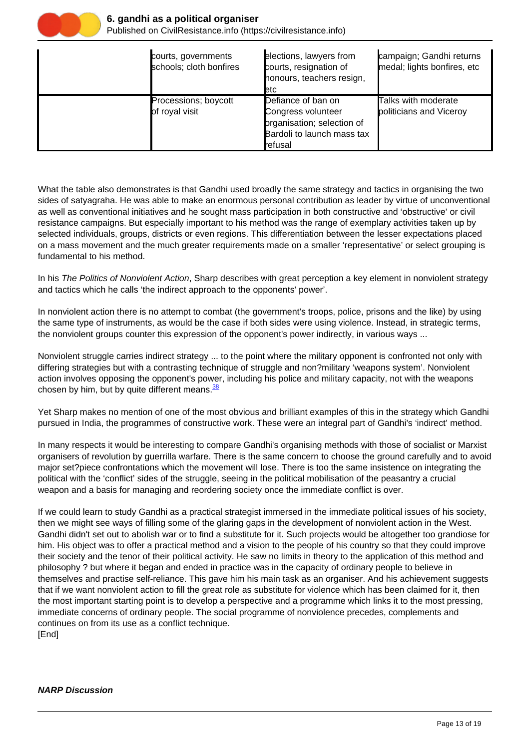

#### **6. gandhi as a political organiser**

Published on CivilResistance.info (https://civilresistance.info)

| courts, governments<br>schools; cloth bonfires | elections, lawyers from<br>courts, resignation of<br>honours, teachers resign,<br><b>l</b> etc                  | campaign; Gandhi returns<br>medal; lights bonfires, etc |
|------------------------------------------------|-----------------------------------------------------------------------------------------------------------------|---------------------------------------------------------|
| Processions; boycott<br>of royal visit         | Defiance of ban on<br>Congress volunteer<br>prganisation; selection of<br>Bardoli to launch mass tax<br>refusal | Talks with moderate<br>politicians and Viceroy          |

What the table also demonstrates is that Gandhi used broadly the same strategy and tactics in organising the two sides of satyagraha. He was able to make an enormous personal contribution as leader by virtue of unconventional as well as conventional initiatives and he sought mass participation in both constructive and 'obstructive' or civil resistance campaigns. But especially important to his method was the range of exemplary activities taken up by selected individuals, groups, districts or even regions. This differentiation between the lesser expectations placed on a mass movement and the much greater requirements made on a smaller 'representative' or select grouping is fundamental to his method.

In his The Politics of Nonviolent Action, Sharp describes with great perception a key element in nonviolent strategy and tactics which he calls 'the indirect approach to the opponents' power'.

In nonviolent action there is no attempt to combat (the government's troops, police, prisons and the like) by using the same type of instruments, as would be the case if both sides were using violence. Instead, in strategic terms, the nonviolent groups counter this expression of the opponent's power indirectly, in various ways ...

Nonviolent struggle carries indirect strategy ... to the point where the military opponent is confronted not only with differing strategies but with a contrasting technique of struggle and non?military 'weapons system'. Nonviolent action involves opposing the opponent's power, including his police and military capacity, not with the weapons chosen by him, but by quite different means. $\frac{38}{2}$ 

Yet Sharp makes no mention of one of the most obvious and brilliant examples of this in the strategy which Gandhi pursued in India, the programmes of constructive work. These were an integral part of Gandhi's 'indirect' method.

In many respects it would be interesting to compare Gandhi's organising methods with those of socialist or Marxist organisers of revolution by guerrilla warfare. There is the same concern to choose the ground carefully and to avoid major set?piece confrontations which the movement will lose. There is too the same insistence on integrating the political with the 'conflict' sides of the struggle, seeing in the political mobilisation of the peasantry a crucial weapon and a basis for managing and reordering society once the immediate conflict is over.

If we could learn to study Gandhi as a practical strategist immersed in the immediate political issues of his society, then we might see ways of filling some of the glaring gaps in the development of nonviolent action in the West. Gandhi didn't set out to abolish war or to find a substitute for it. Such projects would be altogether too grandiose for him. His object was to offer a practical method and a vision to the people of his country so that they could improve their society and the tenor of their political activity. He saw no limits in theory to the application of this method and philosophy ? but where it began and ended in practice was in the capacity of ordinary people to believe in themselves and practise self-reliance. This gave him his main task as an organiser. And his achievement suggests that if we want nonviolent action to fill the great role as substitute for violence which has been claimed for it, then the most important starting point is to develop a perspective and a programme which links it to the most pressing, immediate concerns of ordinary people. The social programme of nonviolence precedes, complements and continues on from its use as a conflict technique. [End]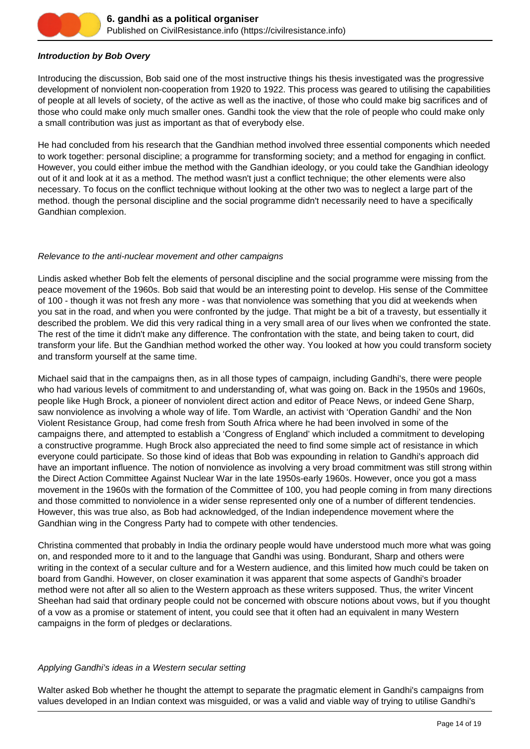

# **Introduction by Bob Overy**

Introducing the discussion, Bob said one of the most instructive things his thesis investigated was the progressive development of nonviolent non-cooperation from 1920 to 1922. This process was geared to utilising the capabilities of people at all levels of society, of the active as well as the inactive, of those who could make big sacrifices and of those who could make only much smaller ones. Gandhi took the view that the role of people who could make only a small contribution was just as important as that of everybody else.

He had concluded from his research that the Gandhian method involved three essential components which needed to work together: personal discipline; a programme for transforming society; and a method for engaging in conflict. However, you could either imbue the method with the Gandhian ideology, or you could take the Gandhian ideology out of it and look at it as a method. The method wasn't just a conflict technique; the other elements were also necessary. To focus on the conflict technique without looking at the other two was to neglect a large part of the method. though the personal discipline and the social programme didn't necessarily need to have a specifically Gandhian complexion.

#### Relevance to the anti-nuclear movement and other campaigns

Lindis asked whether Bob felt the elements of personal discipline and the social programme were missing from the peace movement of the 1960s. Bob said that would be an interesting point to develop. His sense of the Committee of 100 - though it was not fresh any more - was that nonviolence was something that you did at weekends when you sat in the road, and when you were confronted by the judge. That might be a bit of a travesty, but essentially it described the problem. We did this very radical thing in a very small area of our lives when we confronted the state. The rest of the time it didn't make any difference. The confrontation with the state, and being taken to court, did transform your life. But the Gandhian method worked the other way. You looked at how you could transform society and transform yourself at the same time.

Michael said that in the campaigns then, as in all those types of campaign, including Gandhi's, there were people who had various levels of commitment to and understanding of, what was going on. Back in the 1950s and 1960s, people like Hugh Brock, a pioneer of nonviolent direct action and editor of Peace News, or indeed Gene Sharp, saw nonviolence as involving a whole way of life. Tom Wardle, an activist with 'Operation Gandhi' and the Non Violent Resistance Group, had come fresh from South Africa where he had been involved in some of the campaigns there, and attempted to establish a 'Congress of England' which included a commitment to developing a constructive programme. Hugh Brock also appreciated the need to find some simple act of resistance in which everyone could participate. So those kind of ideas that Bob was expounding in relation to Gandhi's approach did have an important influence. The notion of nonviolence as involving a very broad commitment was still strong within the Direct Action Committee Against Nuclear War in the late 1950s-early 1960s. However, once you got a mass movement in the 1960s with the formation of the Committee of 100, you had people coming in from many directions and those committed to nonviolence in a wider sense represented only one of a number of different tendencies. However, this was true also, as Bob had acknowledged, of the Indian independence movement where the Gandhian wing in the Congress Party had to compete with other tendencies.

Christina commented that probably in India the ordinary people would have understood much more what was going on, and responded more to it and to the language that Gandhi was using. Bondurant, Sharp and others were writing in the context of a secular culture and for a Western audience, and this limited how much could be taken on board from Gandhi. However, on closer examination it was apparent that some aspects of Gandhi's broader method were not after all so alien to the Western approach as these writers supposed. Thus, the writer Vincent Sheehan had said that ordinary people could not be concerned with obscure notions about vows, but if you thought of a vow as a promise or statement of intent, you could see that it often had an equivalent in many Western campaigns in the form of pledges or declarations.

#### Applying Gandhi's ideas in a Western secular setting

Walter asked Bob whether he thought the attempt to separate the pragmatic element in Gandhi's campaigns from values developed in an Indian context was misguided, or was a valid and viable way of trying to utilise Gandhi's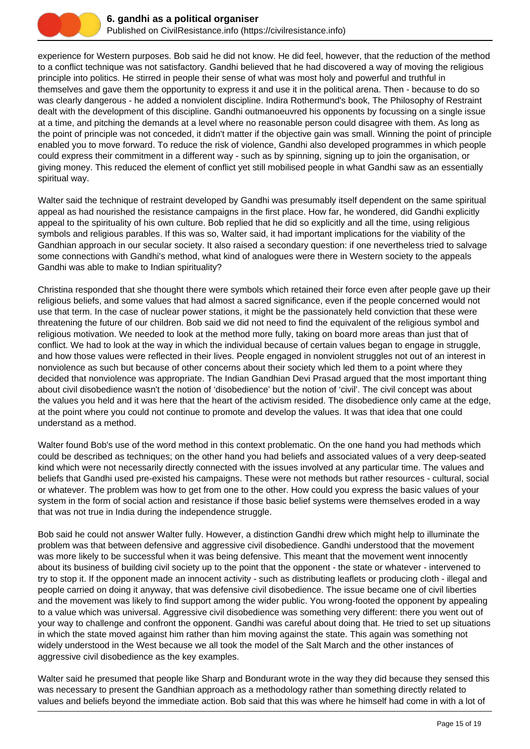

experience for Western purposes. Bob said he did not know. He did feel, however, that the reduction of the method to a conflict technique was not satisfactory. Gandhi believed that he had discovered a way of moving the religious principle into politics. He stirred in people their sense of what was most holy and powerful and truthful in themselves and gave them the opportunity to express it and use it in the political arena. Then - because to do so was clearly dangerous - he added a nonviolent discipline. Indira Rothermund's book, The Philosophy of Restraint dealt with the development of this discipline. Gandhi outmanoeuvred his opponents by focussing on a single issue at a time, and pitching the demands at a level where no reasonable person could disagree with them. As long as the point of principle was not conceded, it didn't matter if the objective gain was small. Winning the point of principle enabled you to move forward. To reduce the risk of violence, Gandhi also developed programmes in which people could express their commitment in a different way - such as by spinning, signing up to join the organisation, or giving money. This reduced the element of conflict yet still mobilised people in what Gandhi saw as an essentially spiritual way.

Walter said the technique of restraint developed by Gandhi was presumably itself dependent on the same spiritual appeal as had nourished the resistance campaigns in the first place. How far, he wondered, did Gandhi explicitly appeal to the spirituality of his own culture. Bob replied that he did so explicitly and all the time, using religious symbols and religious parables. If this was so, Walter said, it had important implications for the viability of the Gandhian approach in our secular society. It also raised a secondary question: if one nevertheless tried to salvage some connections with Gandhi's method, what kind of analogues were there in Western society to the appeals Gandhi was able to make to Indian spirituality?

Christina responded that she thought there were symbols which retained their force even after people gave up their religious beliefs, and some values that had almost a sacred significance, even if the people concerned would not use that term. In the case of nuclear power stations, it might be the passionately held conviction that these were threatening the future of our children. Bob said we did not need to find the equivalent of the religious symbol and religious motivation. We needed to look at the method more fully, taking on board more areas than just that of conflict. We had to look at the way in which the individual because of certain values began to engage in struggle, and how those values were reflected in their lives. People engaged in nonviolent struggles not out of an interest in nonviolence as such but because of other concerns about their society which led them to a point where they decided that nonviolence was appropriate. The Indian Gandhian Devi Prasad argued that the most important thing about civil disobedience wasn't the notion of 'disobedience' but the notion of 'civil'. The civil concept was about the values you held and it was here that the heart of the activism resided. The disobedience only came at the edge, at the point where you could not continue to promote and develop the values. It was that idea that one could understand as a method.

Walter found Bob's use of the word method in this context problematic. On the one hand you had methods which could be described as techniques; on the other hand you had beliefs and associated values of a very deep-seated kind which were not necessarily directly connected with the issues involved at any particular time. The values and beliefs that Gandhi used pre-existed his campaigns. These were not methods but rather resources - cultural, social or whatever. The problem was how to get from one to the other. How could you express the basic values of your system in the form of social action and resistance if those basic belief systems were themselves eroded in a way that was not true in India during the independence struggle.

Bob said he could not answer Walter fully. However, a distinction Gandhi drew which might help to illuminate the problem was that between defensive and aggressive civil disobedience. Gandhi understood that the movement was more likely to be successful when it was being defensive. This meant that the movement went innocently about its business of building civil society up to the point that the opponent - the state or whatever - intervened to try to stop it. If the opponent made an innocent activity - such as distributing leaflets or producing cloth - illegal and people carried on doing it anyway, that was defensive civil disobedience. The issue became one of civil liberties and the movement was likely to find support among the wider public. You wrong-footed the opponent by appealing to a value which was universal. Aggressive civil disobedience was something very different: there you went out of your way to challenge and confront the opponent. Gandhi was careful about doing that. He tried to set up situations in which the state moved against him rather than him moving against the state. This again was something not widely understood in the West because we all took the model of the Salt March and the other instances of aggressive civil disobedience as the key examples.

Walter said he presumed that people like Sharp and Bondurant wrote in the way they did because they sensed this was necessary to present the Gandhian approach as a methodology rather than something directly related to values and beliefs beyond the immediate action. Bob said that this was where he himself had come in with a lot of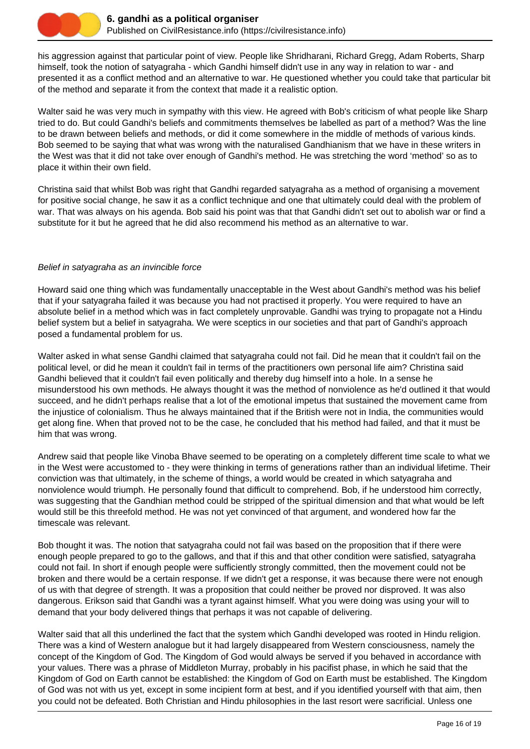

his aggression against that particular point of view. People like Shridharani, Richard Gregg, Adam Roberts, Sharp himself, took the notion of satyagraha - which Gandhi himself didn't use in any way in relation to war - and presented it as a conflict method and an alternative to war. He questioned whether you could take that particular bit of the method and separate it from the context that made it a realistic option.

Walter said he was very much in sympathy with this view. He agreed with Bob's criticism of what people like Sharp tried to do. But could Gandhi's beliefs and commitments themselves be labelled as part of a method? Was the line to be drawn between beliefs and methods, or did it come somewhere in the middle of methods of various kinds. Bob seemed to be saying that what was wrong with the naturalised Gandhianism that we have in these writers in the West was that it did not take over enough of Gandhi's method. He was stretching the word 'method' so as to place it within their own field.

Christina said that whilst Bob was right that Gandhi regarded satyagraha as a method of organising a movement for positive social change, he saw it as a conflict technique and one that ultimately could deal with the problem of war. That was always on his agenda. Bob said his point was that that Gandhi didn't set out to abolish war or find a substitute for it but he agreed that he did also recommend his method as an alternative to war.

# Belief in satyagraha as an invincible force

Howard said one thing which was fundamentally unacceptable in the West about Gandhi's method was his belief that if your satyagraha failed it was because you had not practised it properly. You were required to have an absolute belief in a method which was in fact completely unprovable. Gandhi was trying to propagate not a Hindu belief system but a belief in satyagraha. We were sceptics in our societies and that part of Gandhi's approach posed a fundamental problem for us.

Walter asked in what sense Gandhi claimed that satyagraha could not fail. Did he mean that it couldn't fail on the political level, or did he mean it couldn't fail in terms of the practitioners own personal life aim? Christina said Gandhi believed that it couldn't fail even politically and thereby dug himself into a hole. In a sense he misunderstood his own methods. He always thought it was the method of nonviolence as he'd outlined it that would succeed, and he didn't perhaps realise that a lot of the emotional impetus that sustained the movement came from the injustice of colonialism. Thus he always maintained that if the British were not in India, the communities would get along fine. When that proved not to be the case, he concluded that his method had failed, and that it must be him that was wrong.

Andrew said that people like Vinoba Bhave seemed to be operating on a completely different time scale to what we in the West were accustomed to - they were thinking in terms of generations rather than an individual lifetime. Their conviction was that ultimately, in the scheme of things, a world would be created in which satyagraha and nonviolence would triumph. He personally found that difficult to comprehend. Bob, if he understood him correctly, was suggesting that the Gandhian method could be stripped of the spiritual dimension and that what would be left would still be this threefold method. He was not yet convinced of that argument, and wondered how far the timescale was relevant.

Bob thought it was. The notion that satyagraha could not fail was based on the proposition that if there were enough people prepared to go to the gallows, and that if this and that other condition were satisfied, satyagraha could not fail. In short if enough people were sufficiently strongly committed, then the movement could not be broken and there would be a certain response. If we didn't get a response, it was because there were not enough of us with that degree of strength. It was a proposition that could neither be proved nor disproved. It was also dangerous. Erikson said that Gandhi was a tyrant against himself. What you were doing was using your will to demand that your body delivered things that perhaps it was not capable of delivering.

Walter said that all this underlined the fact that the system which Gandhi developed was rooted in Hindu religion. There was a kind of Western analogue but it had largely disappeared from Western consciousness, namely the concept of the Kingdom of God. The Kingdom of God would always be served if you behaved in accordance with your values. There was a phrase of Middleton Murray, probably in his pacifist phase, in which he said that the Kingdom of God on Earth cannot be established: the Kingdom of God on Earth must be established. The Kingdom of God was not with us yet, except in some incipient form at best, and if you identified yourself with that aim, then you could not be defeated. Both Christian and Hindu philosophies in the last resort were sacrificial. Unless one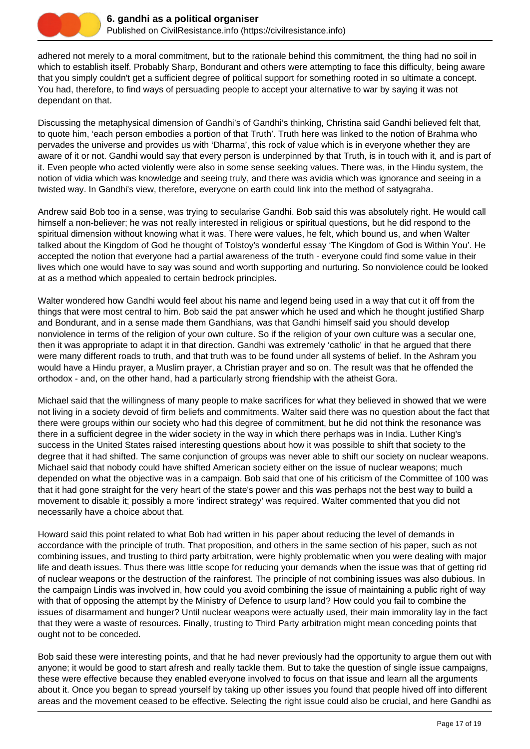

adhered not merely to a moral commitment, but to the rationale behind this commitment, the thing had no soil in which to establish itself. Probably Sharp, Bondurant and others were attempting to face this difficulty, being aware that you simply couldn't get a sufficient degree of political support for something rooted in so ultimate a concept. You had, therefore, to find ways of persuading people to accept your alternative to war by saying it was not dependant on that.

Discussing the metaphysical dimension of Gandhi's of Gandhi's thinking, Christina said Gandhi believed felt that, to quote him, 'each person embodies a portion of that Truth'. Truth here was linked to the notion of Brahma who pervades the universe and provides us with 'Dharma', this rock of value which is in everyone whether they are aware of it or not. Gandhi would say that every person is underpinned by that Truth, is in touch with it, and is part of it. Even people who acted violently were also in some sense seeking values. There was, in the Hindu system, the notion of vidia which was knowledge and seeing truly, and there was avidia which was ignorance and seeing in a twisted way. In Gandhi's view, therefore, everyone on earth could link into the method of satyagraha.

Andrew said Bob too in a sense, was trying to secularise Gandhi. Bob said this was absolutely right. He would call himself a non-believer; he was not really interested in religious or spiritual questions, but he did respond to the spiritual dimension without knowing what it was. There were values, he felt, which bound us, and when Walter talked about the Kingdom of God he thought of Tolstoy's wonderful essay 'The Kingdom of God is Within You'. He accepted the notion that everyone had a partial awareness of the truth - everyone could find some value in their lives which one would have to say was sound and worth supporting and nurturing. So nonviolence could be looked at as a method which appealed to certain bedrock principles.

Walter wondered how Gandhi would feel about his name and legend being used in a way that cut it off from the things that were most central to him. Bob said the pat answer which he used and which he thought justified Sharp and Bondurant, and in a sense made them Gandhians, was that Gandhi himself said you should develop nonviolence in terms of the religion of your own culture. So if the religion of your own culture was a secular one, then it was appropriate to adapt it in that direction. Gandhi was extremely 'catholic' in that he argued that there were many different roads to truth, and that truth was to be found under all systems of belief. In the Ashram you would have a Hindu prayer, a Muslim prayer, a Christian prayer and so on. The result was that he offended the orthodox - and, on the other hand, had a particularly strong friendship with the atheist Gora.

Michael said that the willingness of many people to make sacrifices for what they believed in showed that we were not living in a society devoid of firm beliefs and commitments. Walter said there was no question about the fact that there were groups within our society who had this degree of commitment, but he did not think the resonance was there in a sufficient degree in the wider society in the way in which there perhaps was in India. Luther King's success in the United States raised interesting questions about how it was possible to shift that society to the degree that it had shifted. The same conjunction of groups was never able to shift our society on nuclear weapons. Michael said that nobody could have shifted American society either on the issue of nuclear weapons; much depended on what the objective was in a campaign. Bob said that one of his criticism of the Committee of 100 was that it had gone straight for the very heart of the state's power and this was perhaps not the best way to build a movement to disable it; possibly a more 'indirect strategy' was required. Walter commented that you did not necessarily have a choice about that.

Howard said this point related to what Bob had written in his paper about reducing the level of demands in accordance with the principle of truth. That proposition, and others in the same section of his paper, such as not combining issues, and trusting to third party arbitration, were highly problematic when you were dealing with major life and death issues. Thus there was little scope for reducing your demands when the issue was that of getting rid of nuclear weapons or the destruction of the rainforest. The principle of not combining issues was also dubious. In the campaign Lindis was involved in, how could you avoid combining the issue of maintaining a public right of way with that of opposing the attempt by the Ministry of Defence to usurp land? How could you fail to combine the issues of disarmament and hunger? Until nuclear weapons were actually used, their main immorality lay in the fact that they were a waste of resources. Finally, trusting to Third Party arbitration might mean conceding points that ought not to be conceded.

Bob said these were interesting points, and that he had never previously had the opportunity to argue them out with anyone; it would be good to start afresh and really tackle them. But to take the question of single issue campaigns, these were effective because they enabled everyone involved to focus on that issue and learn all the arguments about it. Once you began to spread yourself by taking up other issues you found that people hived off into different areas and the movement ceased to be effective. Selecting the right issue could also be crucial, and here Gandhi as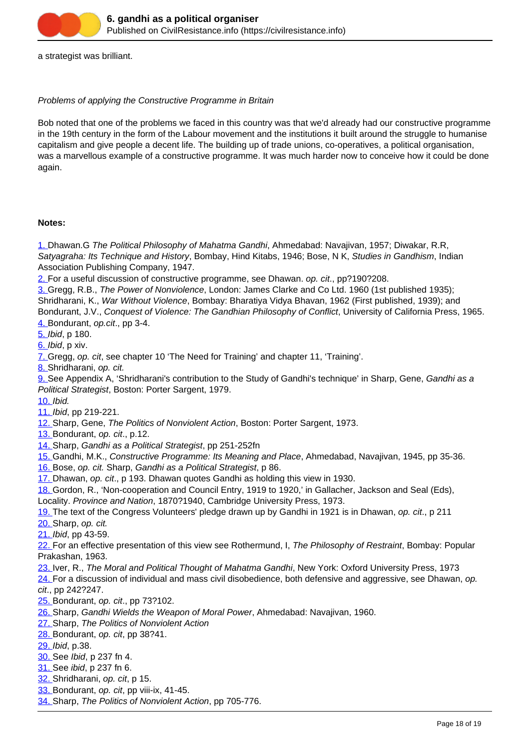a strategist was brilliant.

#### Problems of applying the Constructive Programme in Britain

Bob noted that one of the problems we faced in this country was that we'd already had our constructive programme in the 19th century in the form of the Labour movement and the institutions it built around the struggle to humanise capitalism and give people a decent life. The building up of trade unions, co-operatives, a political organisation, was a marvellous example of a constructive programme. It was much harder now to conceive how it could be done again.

#### **Notes:**

1. Dhawan.G The Political Philosophy of Mahatma Gandhi, Ahmedabad: Navajivan, 1957; Diwakar, R.R, Satyagraha: Its Technique and History, Bombay, Hind Kitabs, 1946; Bose, N K, Studies in Gandhism, Indian Association Publishing Company, 1947.

2. For a useful discussion of constructive programme, see Dhawan, op. cit., pp?190?208.

3. Gregg, R.B., The Power of Nonviolence, London: James Clarke and Co Ltd. 1960 (1st published 1935); Shridharani, K., War Without Violence, Bombay: Bharatiya Vidya Bhavan, 1962 (First published, 1939); and Bondurant, J.V., Conquest of Violence: The Gandhian Philosophy of Conflict, University of California Press, 1965. 4. Bondurant, op.cit., pp 3-4.

5. Ibid, p 180.

6. Ibid, p xiv.

7. Gregg, op. cit, see chapter 10 'The Need for Training' and chapter 11, 'Training'.

8. Shridharani, op. cit.

9. See Appendix A, 'Shridharani's contribution to the Study of Gandhi's technique' in Sharp, Gene, Gandhi as a Political Strategist, Boston: Porter Sargent, 1979.

10. Ibid.

11. Ibid, pp 219-221.

12. Sharp, Gene, The Politics of Nonviolent Action, Boston: Porter Sargent, 1973.

13. Bondurant, op. cit., p.12.

14. Sharp, Gandhi as a Political Strategist, pp 251-252fn

15. Gandhi, M.K., Constructive Programme: Its Meaning and Place, Ahmedabad, Navajivan, 1945, pp 35-36.

16. Bose, op. cit. Sharp, Gandhi as a Political Strategist, p 86.

17. Dhawan, op. cit., p 193. Dhawan quotes Gandhi as holding this view in 1930.

18. Gordon, R., 'Non-cooperation and Council Entry, 1919 to 1920,' in Gallacher, Jackson and Seal (Eds),

Locality. Province and Nation, 1870?1940, Cambridge University Press, 1973.

19. The text of the Congress Volunteers' pledge drawn up by Gandhi in 1921 is in Dhawan, op. cit., p 211

20. Sharp, op. cit.

21. Ibid, pp 43-59.

22. For an effective presentation of this view see Rothermund, I, The Philosophy of Restraint, Bombay: Popular Prakashan, 1963.

23. Iver, R., The Moral and Political Thought of Mahatma Gandhi, New York: Oxford University Press, 1973

24. For a discussion of individual and mass civil disobedience, both defensive and aggressive, see Dhawan, op. cit., pp 242?247.

- 25. Bondurant, op. cit., pp 73?102.
- 26. Sharp, Gandhi Wields the Weapon of Moral Power, Ahmedabad: Navajivan, 1960.
- 27. Sharp, The Politics of Nonviolent Action
- 28. Bondurant, op. cit, pp 38?41.

29. Ibid, p.38.

- 30. See Ibid, p 237 fn 4.
- 31. See ibid, p 237 fn 6.
- 32. Shridharani, op. cit, p 15.
- 33. Bondurant, op. cit, pp viii-ix, 41-45.
- 34. Sharp, The Politics of Nonviolent Action, pp 705-776.